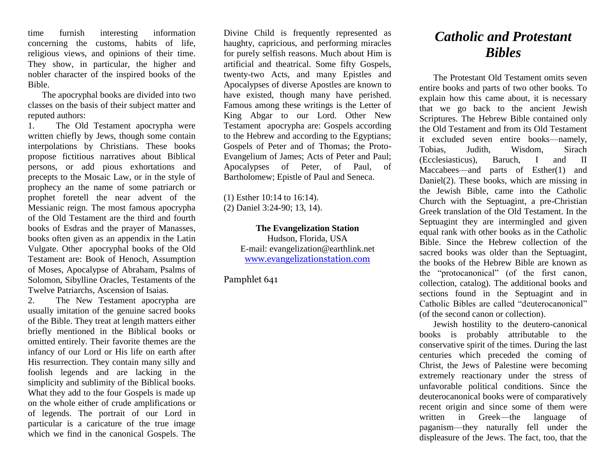time furnish interesting information concerning the customs, habits of life, religious views, and opinions of their time. They show, in particular, the higher and nobler character of the inspired books of the Bible.

The apocryphal books are divided into two classes on the basis of their subject matter and reputed authors:

1. The Old Testament apocrypha were written chiefly by Jews, though some contain interpolations by Christians. These books propose fictitious narratives about Biblical persons, or add pious exhortations and precepts to the Mosaic Law, or in the style of prophecy an the name of some patriarch or prophet foretell the near advent of the Messianic reign. The most famous apocrypha of the Old Testament are the third and fourth books of Esdras and the prayer of Manasses, books often given as an appendix in the Latin Vulgate. Other apocryphal books of the Old Testament are: Book of Henoch, Assumption of Moses, Apocalypse of Abraham, Psalms of Solomon, Sibylline Oracles, Testaments of the Twelve Patriarchs, Ascension of Isaias.

2. The New Testament apocrypha are usually imitation of the genuine sacred books of the Bible. They treat at length matters either briefly mentioned in the Biblical books or omitted entirely. Their favorite themes are the infancy of our Lord or His life on earth after His resurrection. They contain many silly and foolish legends and are lacking in the simplicity and sublimity of the Biblical books. What they add to the four Gospels is made up on the whole either of crude amplifications or of legends. The portrait of our Lord in particular is a caricature of the true image which we find in the canonical Gospels. The

Divine Child is frequently represented as haughty, capricious, and performing miracles for purely selfish reasons. Much about Him is artificial and theatrical. Some fifty Gospels, twenty-two Acts, and many Epistles and Apocalypses of diverse Apostles are known to have existed, though many have perished. Famous among these writings is the Letter of King Abgar to our Lord. Other New Testament apocrypha are: Gospels according to the Hebrew and according to the Egyptians; Gospels of Peter and of Thomas; the Proto-Evangelium of James; Acts of Peter and Paul; Apocalypses of Peter, of Paul, of Bartholomew; Epistle of Paul and Seneca.

(1) Esther 10:14 to 16:14).

(2) Daniel 3:24-90; 13, 14).

**The Evangelization Station** Hudson, Florida, USA E-mail: evangelization@earthlink.net [www.evangelizationstation.com](http://www.pjpiisoe.org/)

Pamphlet 641

## *Catholic and Protestant Bibles*

The Protestant Old Testament omits seven entire books and parts of two other books. To explain how this came about, it is necessary that we go back to the ancient Jewish Scriptures. The Hebrew Bible contained only the Old Testament and from its Old Testament it excluded seven entire books—namely, Tobias, Judith, Wisdom, Sirach (Ecclesiasticus), Baruch, I and II Maccabees—and parts of Esther(1) and Daniel(2). These books, which are missing in the Jewish Bible, came into the Catholic Church with the Septuagint, a pre-Christian Greek translation of the Old Testament. In the Septuagint they are intermingled and given equal rank with other books as in the Catholic Bible. Since the Hebrew collection of the sacred books was older than the Septuagint, the books of the Hebrew Bible are known as the "protocanonical" (of the first canon, collection, catalog). The additional books and sections found in the Septuagint and in Catholic Bibles are called "deuterocanonical" (of the second canon or collection).

Jewish hostility to the deutero-canonical books is probably attributable to the conservative spirit of the times. During the last centuries which preceded the coming of Christ, the Jews of Palestine were becoming extremely reactionary under the stress of unfavorable political conditions. Since the deuterocanonical books were of comparatively recent origin and since some of them were written in Greek—the language of paganism—they naturally fell under the displeasure of the Jews. The fact, too, that the